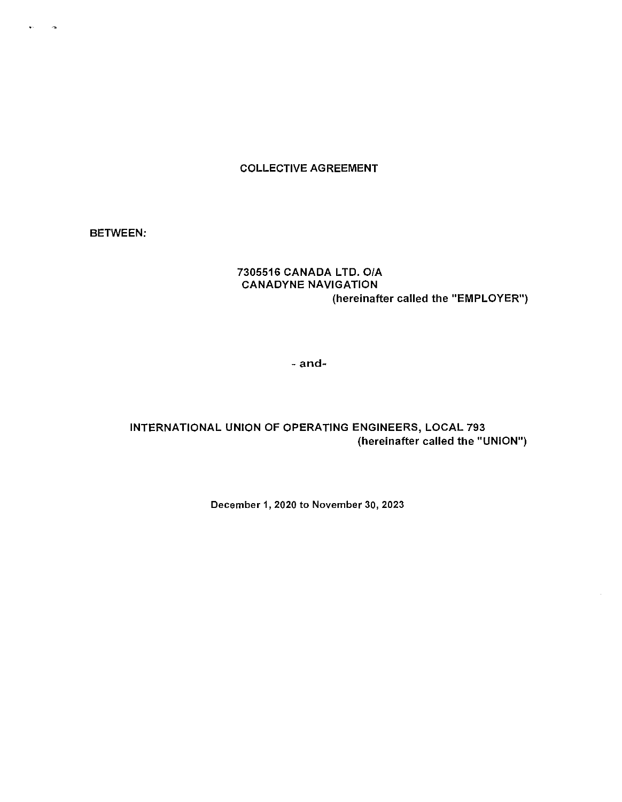## COLLECTIVE AGREEMENT

BETWEEN:

 $\mathcal{A}$ 

## 7305516 CANADA LTD. 0/A CANADYNE NAVIGATION (hereinafter called the "EMPLOYER")

- and-

# INTERNATIONAL UNION OF OPERATING ENGINEERS, LOCAL 793 (hereinafter called the "UNION")

December 1, 2020 to November 30, 2023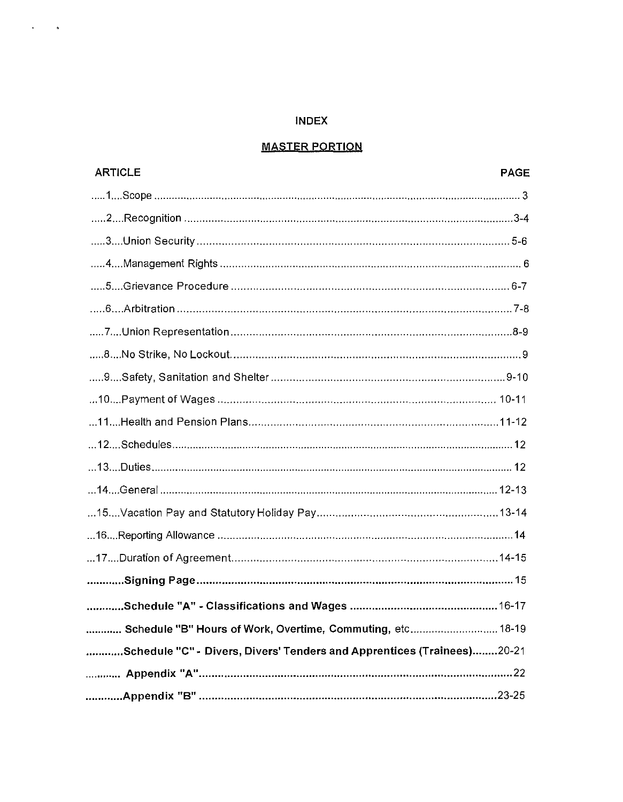## **INDEX**

 $\mathbf{r} = \mathbf{r}$  $\bullet$ 

# **MASTER PORTION**

| <b>ARTICLE</b>                                                         | <b>PAGE</b> |
|------------------------------------------------------------------------|-------------|
|                                                                        |             |
|                                                                        |             |
|                                                                        |             |
|                                                                        |             |
|                                                                        |             |
|                                                                        |             |
|                                                                        |             |
|                                                                        |             |
|                                                                        |             |
|                                                                        |             |
|                                                                        |             |
|                                                                        |             |
|                                                                        |             |
|                                                                        |             |
|                                                                        |             |
|                                                                        |             |
|                                                                        |             |
|                                                                        |             |
|                                                                        |             |
| Schedule "B" Hours of Work, Overtime, Commuting, etc 18-19             |             |
| Schedule "C" - Divers, Divers' Tenders and Apprentices (Trainees)20-21 |             |
|                                                                        |             |
|                                                                        |             |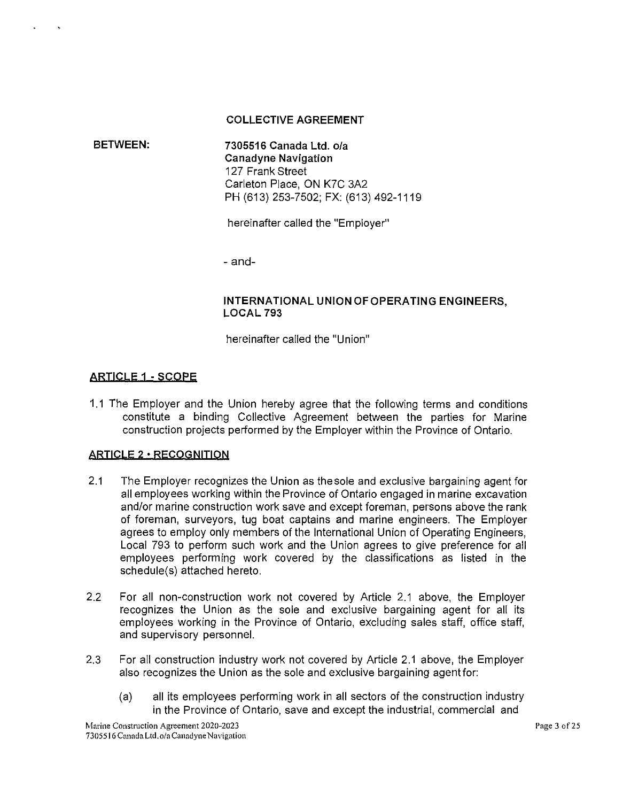#### **COLLECTIVE AGREEMENT**

**BETWEEN: 7305516 Canada Ltd.** o/a **Canadyne Navigation**  127 Frank Street Carleton Place, ON K7C 3A2 PH (613) 253-7502; FX: (613) 492-1119

hereinafter called the "Employer"

- and-

## **INTERNATIONAL UNION OF OPERATING ENGINEERS, LOCAL 793**

hereinafter called the "Union"

## **ARTICLE 1 - SCOPE**

1.1 The Employer and the Union hereby agree that the following terms and conditions constitute a binding Collective Agreement between the parties for Marine construction projects performed by the Employer within the Province of Ontario.

#### **ARTICLE 2 •RECOGNITION**

- 2.1 The Employer recognizes the Union as the sole and exclusive bargaining agent for all employees working within the Province of Ontario engaged in marine excavation and/or marine construction work save and except foreman, persons above the rank of foreman, surveyors, tug boat captains and marine engineers. The Employer agrees to employ only members of the International Union of Operating Engineers, Local 793 to perform such work and the Union agrees to give preference for all employees performing work covered by the classifications as listed in the schedule(s) attached hereto.
- 2.2 For all non-construction work not covered by Article 2.1 above, the Employer recognizes the Union as the sole and exclusive bargaining agent for all its employees working in the Province of Ontario, excluding sales staff, office staff, and supervisory personnel.
- 2.3 For all construction industry work not covered by Article 2.1 above, the Employer also recognizes the Union as the sole and exclusive bargaining agentfor:
	- (a) all its employees performing work in all sectors of the construction industry in the Province of Ontario, save and except the industrial, commercial and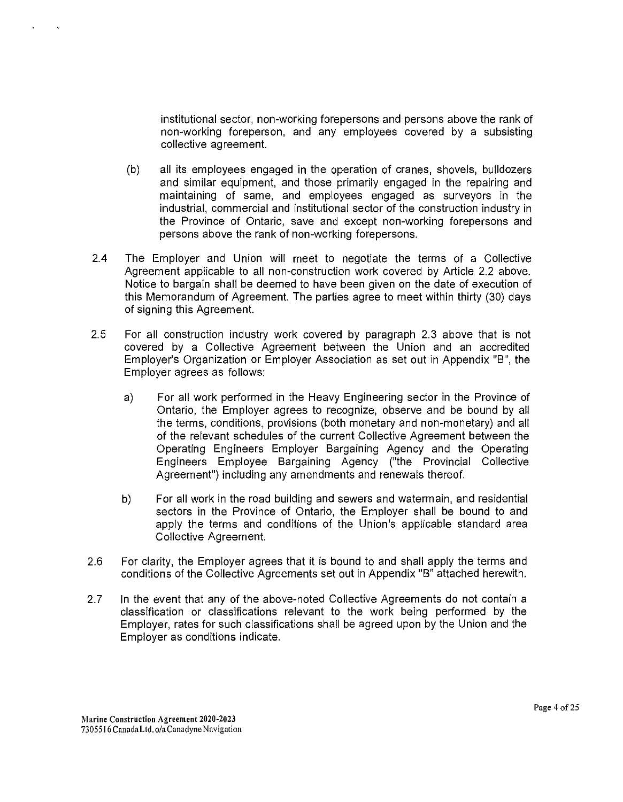institutional sector, non-working forepersons and persons above the rank of non-working foreperson, and any employees covered by a subsisting collective agreement.

- (b) all its employees engaged in the operation of cranes, shovels, bulldozers and similar equipment, and those primarily engaged in the repairing and maintaining of same, and employees engaged as surveyors in the industrial, commercial and institutional sector of the construction industry in the Province of Ontario, save and except non-working forepersons and persons above the rank of non-working forepersons.
- 2.4 The Employer and Union will meet to negotiate the terms of a Collective Agreement applicable to all non-construction work covered by Article 2.2 above. Notice to bargain shall be deemed to have been given on the date of execution of this Memorandum of Agreement. The parties agree to meet within thirty (30) days of signing this Agreement.
- 2.5 For all construction industry work covered by paragraph 2.3 above that is not covered by a Collective Agreement between the Union and an accredited Employer's Organization or Employer Association as set out in Appendix "B", the Employer agrees as follows:
	- a) For all work performed in the Heavy Engineering sector in the Province of Ontario, the Employer agrees to recognize, observe and be bound by all the terms, conditions, provisions (both monetary and non-monetary) and all of the relevant schedules of the current Collective Agreement between the Operating Engineers Employer Bargaining Agency and the Operating Engineers Employee Bargaining Agency ("the Provincial Collective Agreement") including any amendments and renewals thereof.
	- b) For all work in the road building and sewers and watermain, and residential sectors in the Province of Ontario, the Employer shall be bound to and apply the terms and conditions of the Union's applicable standard area Collective Agreement.
- 2.6 For clarity, the Employer agrees that it is bound to and shall apply the terms and conditions of the Collective Agreements set out in Appendix "B" attached herewith.
- 2.7 In the event that any of the above-noted Collective Agreements do not contain a classification or classifications relevant to the work being performed by the Employer, rates for such classifications shall be agreed upon by the Union and the Employer as conditions indicate.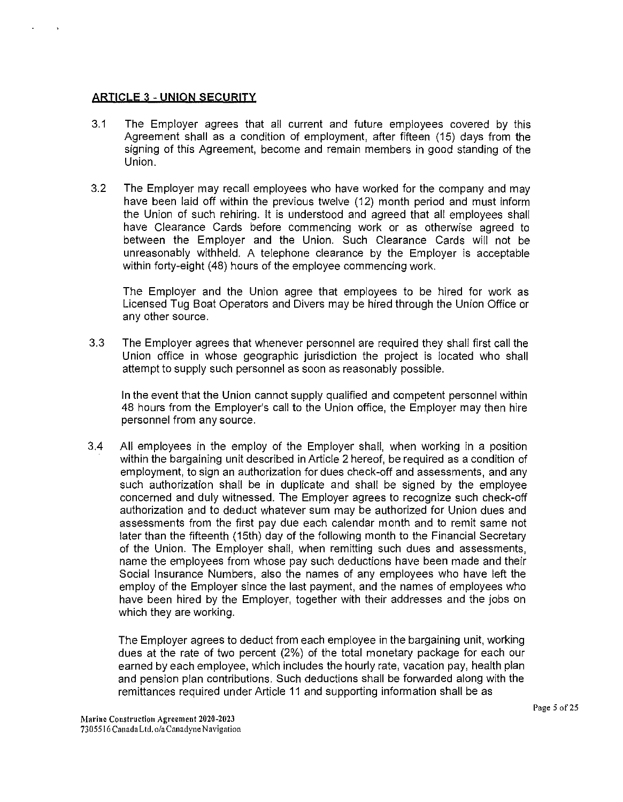## **ARTICLE** 3 - **UNION SECURITY**

- 3.1 The Employer agrees that all current and future employees covered by this Agreement shall as a condition of employment, after fifteen (15) days from the signing of this Agreement, become and remain members in good standing of the Union.
- 3.2 The Employer may recall employees who have worked for the company and may have been laid off within the previous twelve (12) month period and must inform the Union of such rehiring. It is understood and agreed that all employees shall have Clearance Cards before commencing work or as otherwise agreed to between the Employer and the Union. Such Clearance Cards will not be unreasonably withheld. A telephone clearance by the Employer is acceptable within forty-eight (48) hours of the employee commencing work.

The Employer and the Union agree that employees to be hired for work as Licensed Tug Boat Operators and Divers may be hired through the Union Office or any other source.

3.3 The Employer agrees that whenever personnel are required they shall first call the Union office in whose geographic jurisdiction the project is located who shall attempt to supply such personnel as soon as reasonably possible.

In the event that the Union cannot supply qualified and competent personnel within 48 hours from the Employer's call to the Union office, the Employer may then hire personnel from any source.

3.4 All employees in the employ of the Employer shall, when working in a position within the bargaining unit described in Article 2 hereof, be required as a condition of employment, to sign an authorization for dues check-off and assessments, and any such authorization shall be in duplicate and shall be signed by the employee concerned and duly witnessed. The Employer agrees to recognize such check-off authorization and to deduct whatever sum may be authorized for Union dues and assessments from the first pay due each calendar month and to remit same not later than the fifteenth (15th) day of the following month to the Financial Secretary of the Union. The Employer shall, when remitting such dues and assessments, name the employees from whose pay such deductions have been made and their Social Insurance Numbers, also the names of any employees who have left the employ of the Employer since the last payment, and the names of employees who have been hired by the Employer, together with their addresses and the jobs on which they are working.

The Employer agrees to deduct from each employee in the bargaining unit, working dues at the rate of two percent (2%) of the total monetary package for each our earned by each employee, which includes the hourly rate, vacation pay, health plan and pension plan contributions. Such deductions shall be forwarded along with the remittances required under Article 11 and supporting information shall be as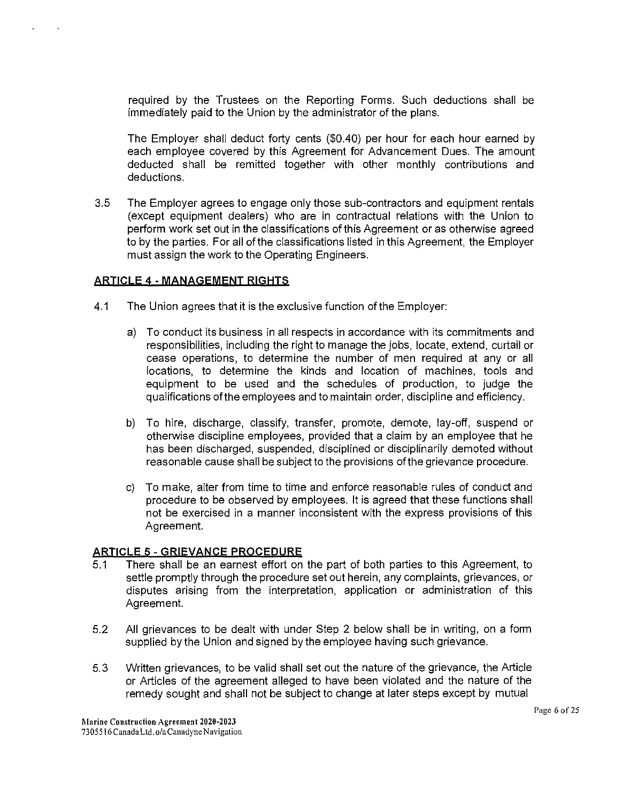required by the Trustees on the Reporting Forms. Such deductions shall be immediately paid to the Union by the administrator of the plans.

The Employer shall deduct forty cents (\$0.40) per hour for each hour earned by each employee covered by this Agreement for Advancement Dues. The amount deducted shall be remitted together with other monthly contributions and deductions.

3.5 The Employer agrees to engage only those sub-contractors and equipment rentals (except equipment dealers) who are in contractual relations with the Union to perform work set out in the classifications of this Agreement or as otherwise agreed to by the parties. For all of the classifications listed in this Agreement, the Employer must assign the work to the Operating Engineers.

# **ARTICLE** 4 - **MANAGEMENT RIGHTS**

- 4.1 The Union agrees that it is the exclusive function of the Employer:
	- a) To conduct its business in all respects in accordance with its commitments and responsibilities, including the right to manage the jobs, locate, extend, curtail or cease operations, to determine the number of men required at any or all locations, to determine the kinds and location of machines, tools and equipment to be used and the schedules of production, to judge the qualifications of the employees and to maintain order, discipline and efficiency.
	- b) To hire, discharge, classify, transfer, promote, demote, lay-off, suspend or otherwise discipline employees, provided that a claim by an employee that he has been discharged, suspended, disciplined or disciplinarily demoted without reasonable cause shall be subject to the provisions of the grievance procedure.
	- c) To make, alter from time to time and enforce reasonable rules of conduct and procedure to be observed by employees. It is agreed that these functions shall not be exercised in a manner inconsistent with the express provisions of this Agreement.

## **ARTICLE** 5 - **GRIEVANCE PROCEDURE**

- 5.1 There shall be an earnest effort on the part of both parties to this Agreement, to settle promptly through the procedure set out herein, any complaints, grievances, or disputes arising from the interpretation, application or administration of this Agreement.
- 5.2 All grievances to be dealt with under Step 2 below shall be in writing, on a form supplied by the Union and signed by the employee having such grievance.
- 5.3 Written grievances, to be valid shall set out the nature of the grievance, the Article or Articles of the agreement alleged to have been violated and the nature of the remedy sought and shall not be subject to change at later steps except by mutual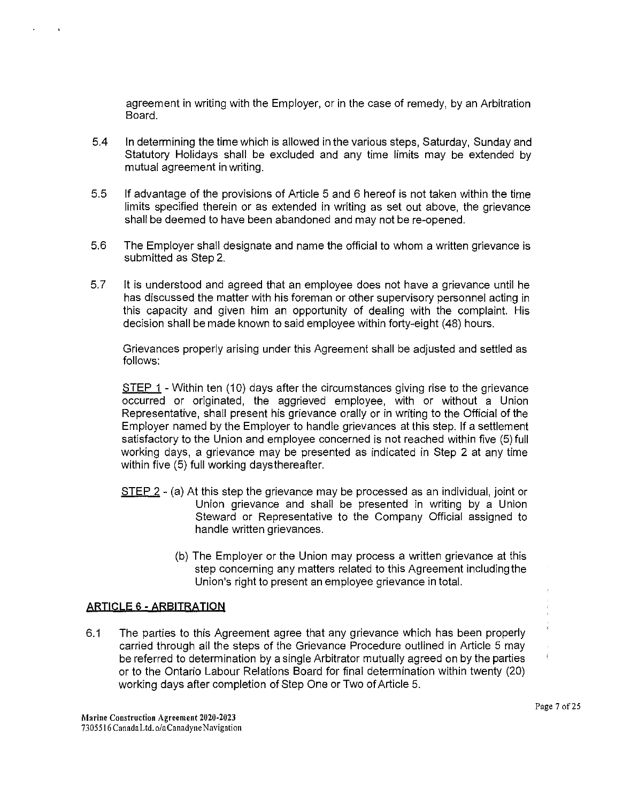agreement in writing with the Employer, or in the case of remedy, by an Arbitration Board.

- 5.4 In detennining the time which is allowed in the various steps, Saturday, Sunday and Statutory Holidays shall be excluded and any time limits may be extended by mutual agreement in writing.
- 5.5 If advantage of the provisions of Article 5 and 6 hereof is not taken within the time limits specified therein or as extended in writing as set out above, the grievance shall be deemed to have been abandoned and may not be re-opened.
- 5.6 The Employer shall designate and name the official to whom a written grievance is submitted as Step 2.
- 5.7 It is understood and agreed that an employee does not have a grievance until he has discussed the matter with his foreman or other supervisory personnel acting in this capacity and given him an opportunity of dealing with the complaint. His decision shall be made known to said employee within forty-eight (48) hours.

Grievances properly arising under this Agreement shall be adjusted and settled as follows:

STEP 1 - Within ten (10) days after the circumstances giving rise to the grievance occurred or originated, the aggrieved employee, with or without a Union Representative, shall present his grievance orally or in writing to the Official of the Employer named by the Employer to handle grievances at this step. If a settlement satisfactory to the Union and employee concerned is not reached within five (5) full working days, a grievance may be presented as indicated in Step 2 at any time within five (5) full working daysthereafter.

- STEP 2 (a) At this step the grievance may be processed as an individual, joint or Union grievance and shall be presented in writing by a Union Steward or Representative to the Company Official assigned to handle written grievances.
	- (b) The Employer or the Union may process a written grievance at this step concerning any matters related to this Agreement including the Union's right to present an employee grievance in total.

## **ARTICLE** 6 - **ARBITRATION**

6.1 The parties to this Agreement agree that any grievance which has been properly carried through all the steps of the Grievance Procedure outlined in Article 5 may be referred to determination by a single Arbitrator mutually agreed on by the parties or to the Ontario Labour Relations Board for final determination within twenty (20) working days after completion of Step One or Two of Article 5.

 $\bar{z}$  $\frac{1}{2}$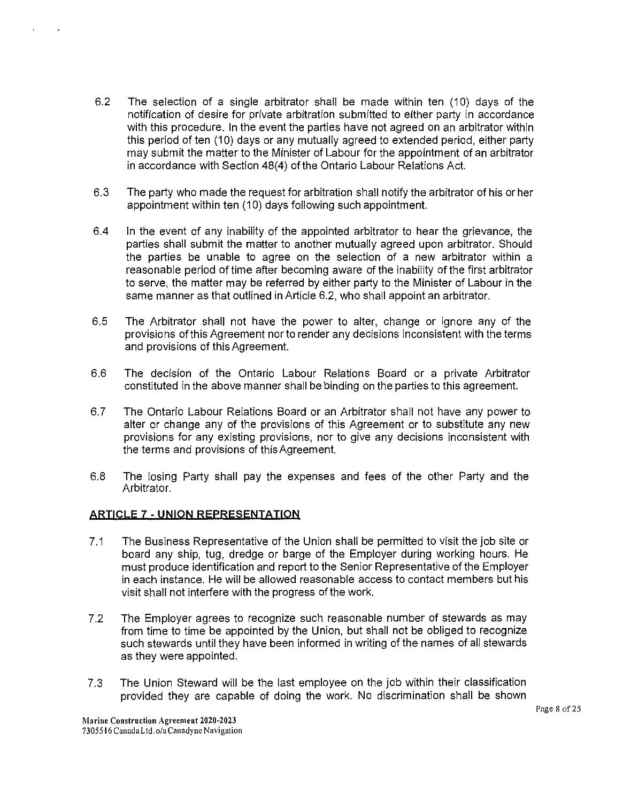- 6.2 The selection of a single arbitrator shall be made within ten (10) days of the notification of desire for private arbitration submitted to either party in accordance with this procedure. In the event the parties have not agreed on an arbitrator within this period of ten (10) days or any mutually agreed to extended period, either party may submit the matter to the Minister of Labour for the appointment of an arbitrator in accordance with Section 48(4) of the Ontario Labour Relations Act.
- 6.3 The party who made the request for arbitration shall notify the arbitrator of his or her appointment within ten (10) days following such appointment.
- 6.4 In the event of any inability of the appointed arbitrator to hear the grievance, the parties shall submit the matter to another mutually agreed upon arbitrator. Should the parties be unable to agree on the selection of a new arbitrator within a reasonable period of time after becoming aware of the inability of the first arbitrator to serve, the matter may be referred by either party to the Minister of Labour in the same manner as that outlined in Article 6.2, who shall appoint an arbitrator.
- 6.5 The Arbitrator shall not have the power to alter, change or ignore any of the provisions of this Agreement nor to render any decisions inconsistent with the terms and provisions of this Agreement.
- 6.6 The decision of the Ontario Labour Relations Board or a private Arbitrator constituted in the above manner shall be binding on the parties to this agreement.
- 6. 7 The Ontario Labour Relations Board or an Arbitrator shall not have any power to alter or change any of the provisions of this Agreement or to substitute any new provisions for any existing provisions, nor to give any decisions inconsistent with the terms and provisions of this Agreement.
- 6.8 The losing Party shall pay the expenses and fees of the other Party and the Arbitrator.

## **ARTICLE 7 - UNION REPRESENTATION**

- 7.1 The Business Representative of the Union shall be permitted to visit the job site or board any ship, tug, dredge or barge of the Employer during working hours. He must produce identification and report to the Senior Representative of the Employer in each instance. He will be allowed reasonable access to contact members but his visit shall not interfere with the progress of the work.
- 7.2 The Employer agrees to recognize such reasonable number of stewards as may from time to time be appointed by the Union, but shall not be obliged to recognize such stewards until they have been informed in writing of the names of all stewards as they were appointed.
- 7.3 The Union Steward will be the last employee on the job within their classification provided they are capable of doing the work. No discrimination shall be shown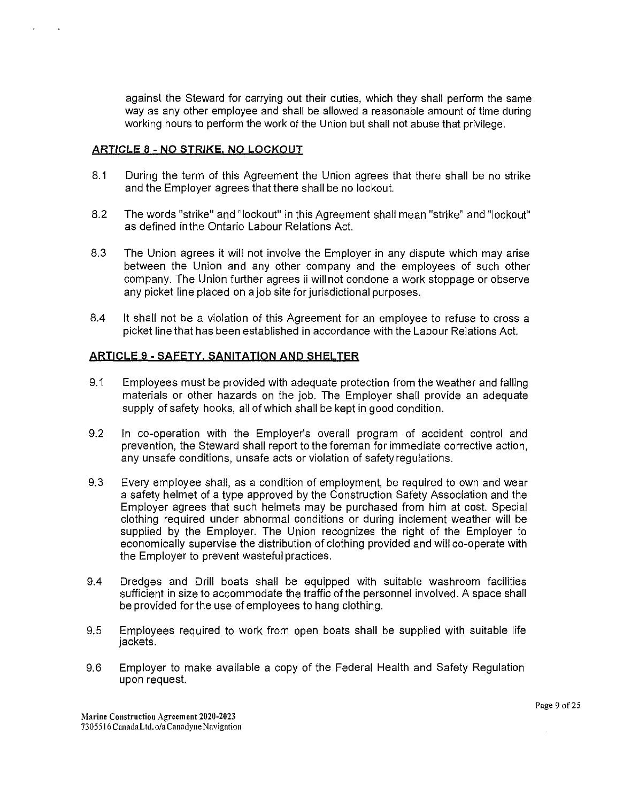against the Steward for carrying out their duties, which they shall perform the same way as any other employee and shall be allowed a reasonable amount of time during working hours to perform the work of the Union but shall not abuse that privilege.

## **ARTICLE** 8 - **NO STRIKE. NO LOCKOUT**

- 8.1 During the term of this Agreement the Union agrees that there shall be no strike and the Employer agrees that there shall be no lockout.
- 8.2 The words "strike" and "lockout" in this Agreement shall mean "strike" and "lockout" as defined inthe Ontario Labour Relations Act.
- 8.3 The Union agrees it will not involve the Employer in any dispute which may arise between the Union and any other company and the employees of such other company. The Union further agrees ii will not condone a work stoppage or observe any picket line placed on a job site for jurisdictional purposes.
- 8.4 It shall not be a violation of this Agreement for an employee to refuse to cross a picket line that has been established in accordance with the Labour Relations Act.

## **ARI!CL!.i** 9 - **SAFETY. SANITATION AND SHELTER**

- 9.1 Employees must be provided with adequate protection from the weather and falling materials or other hazards on the job. The Employer shall provide an adequate supply of safety hooks, all of which shall be kept in good condition.
- 9.2 In co-operation with the Employer's overall program of accident control and prevention, the Steward shall report to the foreman for immediate corrective action, any unsafe conditions, unsafe acts or violation of safety regulations.
- 9.3 Every employee shall, as a condition of employment, be required to own and wear a safety helmet of a type approved by the Construction Safety Association and the Employer agrees that such helmets may be purchased from him at cost. Special clothing required under abnormal conditions or during inclement weather will be supplied by the Employer. The Union recognizes the right of the Employer to economically supervise the distribution of clothing provided and will co-operate with the Employer to prevent wasteful practices.
- 9.4 Dredges and Drill boats shall be equipped with suitable washroom facilities sufficient in size to accommodate the traffic of the personnel involved. A space shall be provided for the use of employees to hang clothing.
- 9.5 Employees required to work from open boats shall be supplied with suitable life jackets.
- 9.6 Employer to make available a copy of the Federal Health and Safety Regulation upon request.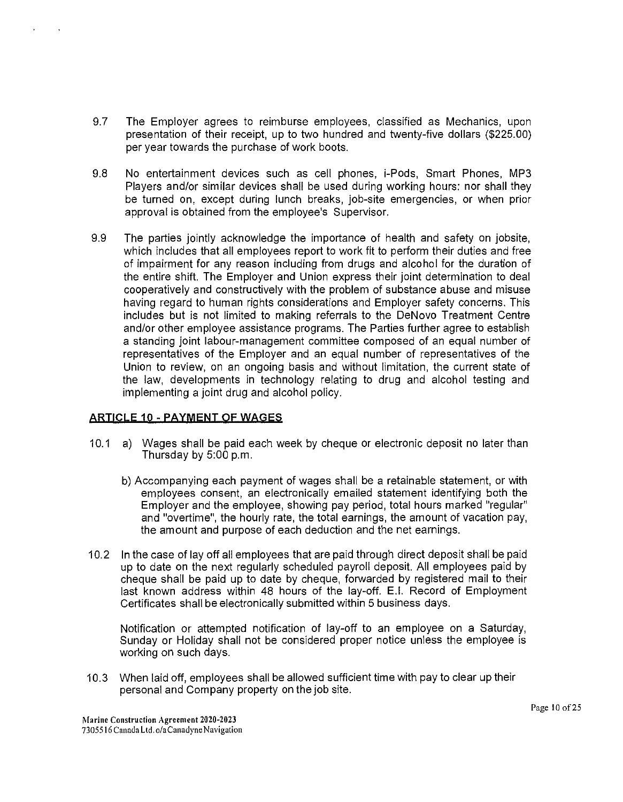- 9.7 The Employer agrees to reimburse employees, classified as Mechanics, upon presentation of their receipt, up to two hundred and twenty-five dollars (\$225.00) per year towards the purchase of work boots.
- 9.8 No entertainment devices such as cell phones, i-Pods, Smart Phones, MP3 Players and/or similar devices shall be used during working hours: nor shall they be turned on, except during lunch breaks, job-site emergencies, or when prior approval is obtained from the employee's Supervisor.
- 9.9 The parties jointly acknowledge the importance of health and safety on jobsite, which includes that all employees report to work fit to perform their duties and free of impairment for any reason including from drugs and alcohol for the duration of the entire shift. The Employer and Union express their joint determination to deal cooperatively and constructively with the problem of substance abuse and misuse having regard to human rights considerations and Employer safety concerns. This includes but is not limited to making referrals to the DeNovo Treatment Centre and/or other employee assistance programs. The Parties further agree to establish a standing joint labour-management committee composed of an equal number of representatives of the Employer and an equal number of representatives of the Union to review, on an ongoing basis and without limitation, the current state of the law, developments in technology relating to drug and alcohol testing and implementing a joint drug and alcohol policy.

## **ARTICLE 10 ·PAYMENT OF WAGES**

- 10.1 a) Wages shall be paid each week by cheque or electronic deposit no later than Thursday by 5:00 p.m.
	- b) Accompanying each payment of wages shall be a retainable statement, or with employees consent, an electronically emailed statement identifying both the Employer and the employee, showing pay period, total hours marked "regular" and "overtime", the hourly rate, the total earnings, the amount of vacation pay, the amount and purpose of each deduction and the net earnings.
- 10.2 In the case of lay off all employees that are paid through direct deposit shall be paid up to date on the next regularly scheduled payroll deposit. All employees paid by cheque shall be paid up to date by cheque, forwarded by registered mail to their last known address within 48 hours of the lay-off. E.1. Record of Employment Certificates shall be electronically submitted within 5 business days.

Notification or attempted notification of lay-off to an employee on a Saturday, Sunday or Holiday shall not be considered proper notice unless the employee is working on such days.

10.3 When laid off, employees shall be allowed sufficient time with pay to clear up their personal and Company property on the job site.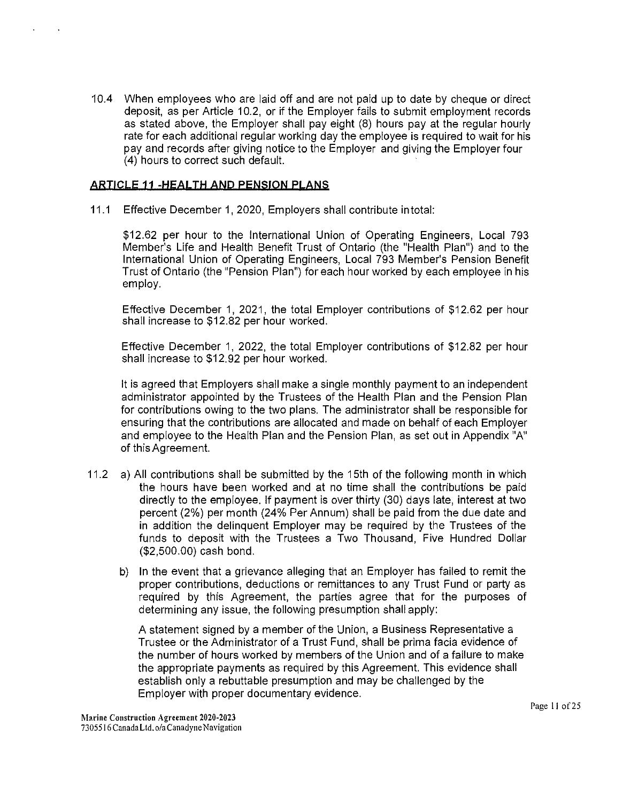10.4 When employees who are laid off and are not paid up to date by cheque or direct deposit, as per Article 10.2, or if the Employer fails to submit employment records as stated above, the Employer shall pay eight (8) hours pay at the regular hourly rate for each additional regular working day the employee is required to wait for his pay and records after giving notice to the Employer and giving the Employer four (4) hours to correct such default.

## **ARTICLE 11 -HEALTH AND PENSION PLANS**

11.1 Effective December 1, 2020, Employers shall contribute in total:

\$12.62 per hour to the International Union of Operating Engineers, Local 793 Member's Life and Health Benefit Trust of Ontario (the "Health Plan") and to the International Union of Operating Engineers, Local 793 Member's Pension Benefit Trust of Ontario (the "Pension Plan") for each hour worked by each employee in his employ.

Effective December 1, 2021, the total Employer contributions of \$12.62 per hour shall increase to \$12.82 per hour worked.

Effective December 1, 2022, the total Employer contributions of \$12.82 per hour shall increase to \$12.92 per hour worked.

It is agreed that Employers shall make a single monthly payment to an independent administrator appointed by the Trustees of the Health Plan and the Pension Plan for contributions owing to the two plans. The administrator shall be responsible for ensuring that the contributions are allocated and made on behalf of each Employer and employee to the Health Plan and the Pension Plan, as set out in Appendix "A" of this Agreement.

- 11.2 a) All contributions shall be submitted by the 15th of the following month in which the hours have been worked and at no time shall the contributions be paid directly to the employee. If payment is over thirty (30) days late, interest at two percent (2%) per month (24% Per Annum) shall be paid from the due date and in addition the delinquent Employer may be required by the Trustees of the funds to deposit with the Trustees a Two Thousand, Five Hundred Dollar (\$2,500.00) cash bond.
	- b) In the event that a grievance alleging that an Employer has failed to remit the proper contributions, deductions or remittances to any Trust Fund or party as required by this Agreement, the parties agree that for the purposes of determining any issue, the following presumption shall apply:

A statement signed by a member of the Union, a Business Representative a Trustee or the Administrator of a Trust Fund, shall be prima facia evidence of the number of hours worked by members of the Union and of a failure to make the appropriate payments as required by this Agreement. This evidence shall establish only a rebuttable presumption and may be challenged by the Employer with proper documentary evidence.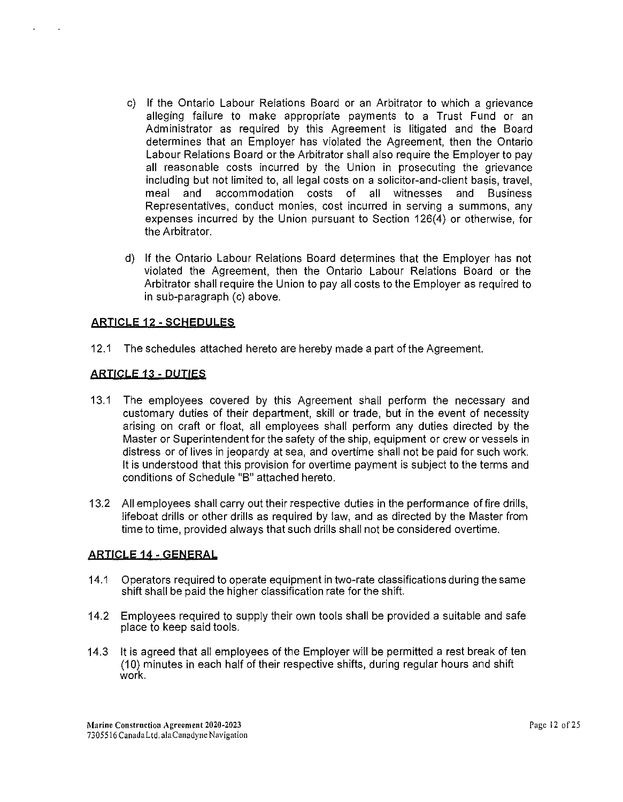- c) If the Ontario Labour Relations Board or an Arbitrator to which a grievance alleging failure to make appropriate payments to a Trust Fund or an Administrator as required by this Agreement is litigated and the Board determines that an Employer has violated the Agreement, then the Ontario Labour Relations Board or the Arbitrator shall also require the Employer to pay all reasonable costs incurred by the Union in prosecuting the grievance including but not limited to, all legal costs on a solicitor-and-client basis, travel, meal and accommodation costs of all witnesses and Business Representatives, conduct monies, cost incurred in serving a summons, any expenses incurred by the Union pursuant to Section 126(4) or otherwise, for the Arbitrator.
- d) If the Ontario Labour Relations Board determines that the Employer has not violated the Agreement, then the Ontario Labour Relations Board or the Arbitrator shall require the Union to pay all costs to the Employer as required to in sub-paragraph (c) above.

# **ARTICLE 12 ·SCHEDULES**

12.1 The schedules attached hereto are hereby made a part of the Agreement.

## **ARTICLE** 13 - **DUTIES**

- 13.1 The employees covered by this Agreement shall perform the necessary and customary duties of their department, skill or trade, but in the event of necessity arising on craft or float, all employees shall perform any duties directed by the Master or Superintendent for the safety of the ship, equipment or crew or vessels in distress or of lives in jeopardy at sea, and overtime shall not be paid for such work. It is understood that this provision for overtime payment is subject to the terms and conditions of Schedule "B" attached hereto.
- 13.2 All employees shall carry out their respective duties in the performance offire drills, lifeboat drills or other drills as required by law, and as directed by the Master from time to time, provided always that such drills shall not be considered overtime.

## **ARI!CLE14-GENERAL**

- 14.1 Operators required to operate equipment in two-rate classifications during the same shift shall be paid the higher classification rate for the shift.
- 14.2 Employees required to supply their own tools shall be provided a suitable and safe place to keep said tools.
- 14.3 It is agreed that all employees of the Employer will be permitted a rest break of ten (10) minutes in each half of their respective shifts, during regular hours and shift work.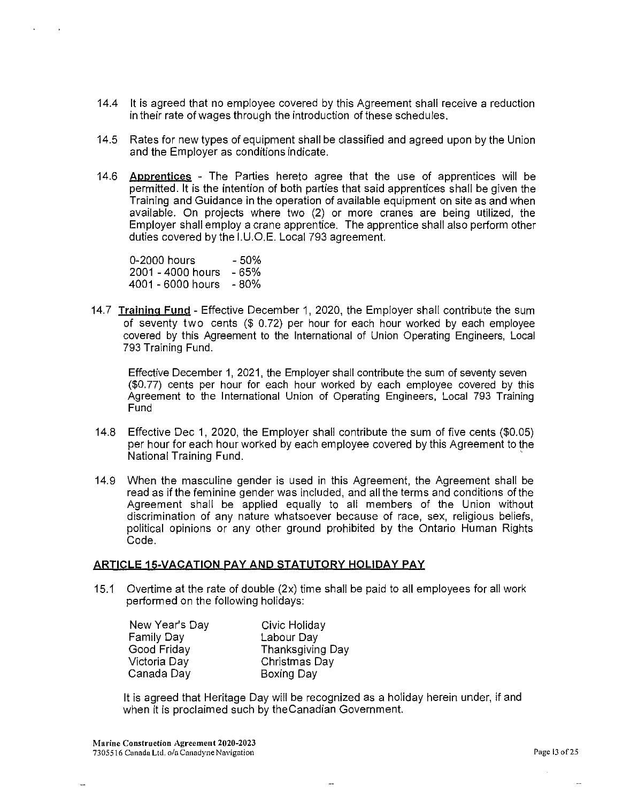- 14.4 It is agreed that no employee covered by this Agreement shall receive a reduction in their rate of wages through the introduction of these schedules.
- 14.5 Rates for new types of equipment shall be classified and agreed upon by the Union and the Employer as conditions indicate.
- 14.6 **Apprentices** The Parties hereto agree that the use of apprentices will be permitted. It is the intention of both parties that said apprentices shall be given the Training and Guidance in the operation of available equipment on site as and when available. On projects where two (2) or more cranes are being utilized, the Employer shall employ a crane apprentice. The apprentice shall also perform other duties covered by the 1.U.O.E. Local 793 agreement.

0-2000 hours 2001 - 4000 hours -65% 4001 - 6000 hours -80% -50%

14.7 Training Fund - Effective December 1, 2020, the Employer shall contribute the sum of seventy two cents  $(\$ 0.72)$  per hour for each hour worked by each employee covered by this Agreement to the International of Union Operating Engineers, Local 793 Training Fund.

Effective December 1, 2021, the Employer shall contribute the sum of seventy seven (\$0. 77) cents per hour for each hour worked by each employee covered by this Agreement to the International Union of Operating Engineers, Local 793 Training Fund

- 14.8 Effective Dec 1, 2020, the Employer shall contribute the sum of five cents (\$0.05) per hour for each hour worked by each employee covered by this Agreement to the National Training Fund. ·
- 14.9 When the masculine gender is used in this Agreement, the Agreement shall be read as if the feminine gender was included, and all the terms and conditions of the Agreement shall be applied equally to all members of the Union without discrimination of any nature whatsoever because of race, sex, religious beliefs, political opinions or any other ground prohibited by the Ontario Human Rights Code.

## ARTICLE 15-VACATION PAY AND STATUTORY HOLIDAY PAY

15.1 Overtime at the rate of double (2x) time shall be paid to all employees for all work performed on the following holidays:

| New Year's Day | Civic Holiday           |
|----------------|-------------------------|
| Family Day     | Labour Day              |
| Good Friday    | <b>Thanksgiving Day</b> |
| Victoria Day   | Christmas Day           |
| Canada Day     | Boxing Day              |
|                |                         |

It is agreed that Heritage Day will be recognized as a holiday herein under, if and when it is proclaimed such by theCanadian Government.

 $\sim$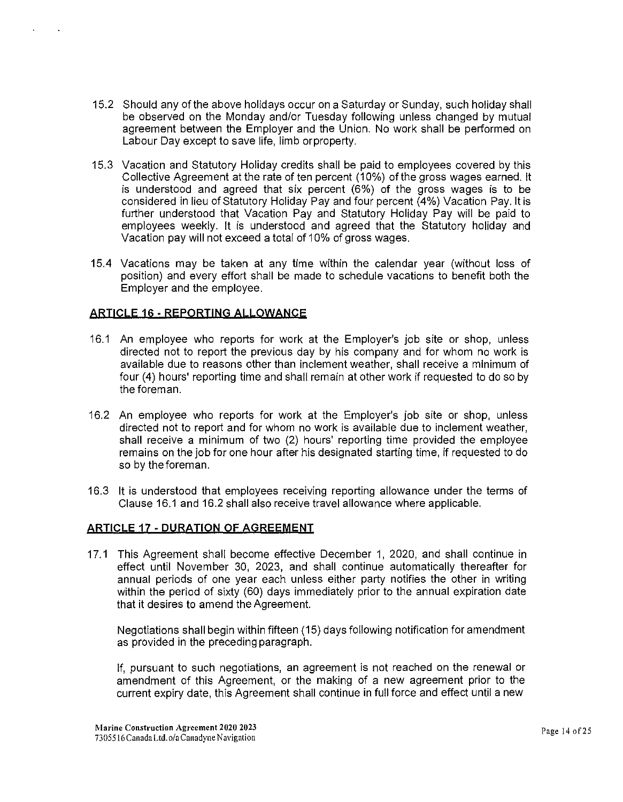- 15.2 Should any of the above holidays occur on a Saturday or Sunday, such holiday shall be observed on the Monday and/or Tuesday following unless changed by mutual agreement between the Employer and the Union. No work shall be performed on Labour Day except to save life, limb orproperty.
- 15.3 Vacation and Statutory Holiday credits shall be paid to employees covered by this Collective Agreement at the rate of ten percent (10%) of the gross wages earned. It is understood and agreed that six percent (6%) of the gross wages is to be considered in lieu of Statutory Holiday Pay and four percent (4%) Vacation Pay. It is further understood that Vacation Pay and Statutory Holiday Pay will be paid to employees weekly. It is understood and agreed that the Statutory holiday and Vacation pay will not exceed a total of 10% of gross wages.
- 15.4 Vacations may be taken at any time within the calendar year (without loss of position) and every effort shall be made to schedule vacations to benefit both the Employer and the employee.

## **ARTICLE** 16 - **REPORTING ALLOWANCE**

- 16.1 An employee who reports for work at the Employer's job site or shop, unless directed not to report the previous day by his company and for whom no work is available due to reasons other than inclement weather, shall receive a minimum of four (4) hours' reporting time and shall remain at other work if requested to do so by the foreman.
- 16.2 An employee who reports for work at the Employer's job site or shop, unless directed not to report and for whom no work is available due to inclement weather, shall receive a minimum of two (2) hours' reporting time provided the employee remains on the job for one hour after his designated starting time, if requested to do so by theforeman.
- 16.3 It is understood that employees receiving reporting allowance under the terms of Clause 16.1 and 16.2 shall also receive travel allowance where applicable.

## **ARTICLE 17 - QURATION OF AGREEMENT**

17.1 This Agreement shall become effective December 1, 2020, and shall continue in effect until November 30, 2023, and shall continue automatically thereafter for annual periods of one year each unless either party notifies the other in writing within the period of sixty (60) days immediately prior to the annual expiration date that it desires to amend the Agreement.

Negotiations shall begin within fifteen (15) days following notification for amendment as provided in the preceding paragraph.

If, pursuant to such negotiations, an agreement is not reached on the renewal or amendment of this Agreement, or the making of a new agreement prior to the current expiry date, this Agreement shall continue in full force and effect until a new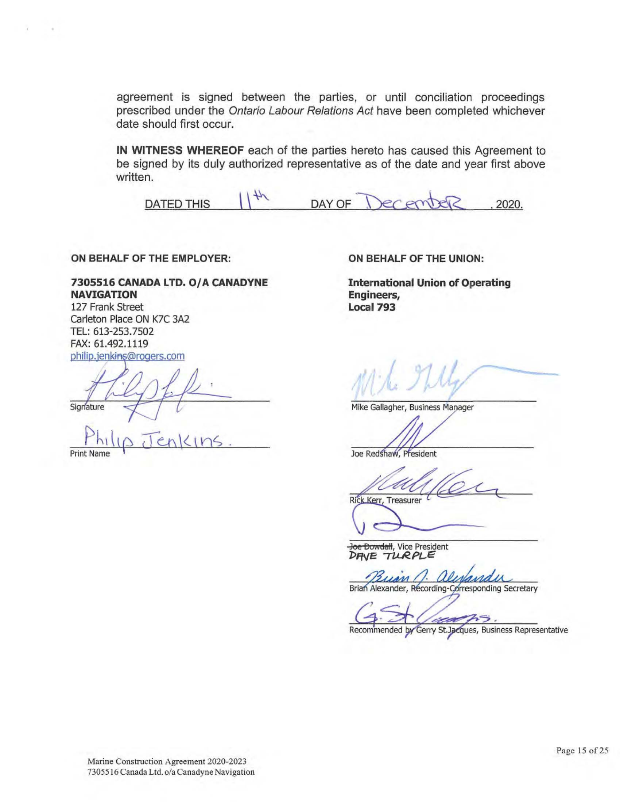agreement is signed between the parties, or until conciliation proceedings prescribed under the Ontario Labour Relations Act have been completed whichever date should first occur.

**IN WITNESS WHEREOF** each of the parties hereto has caused this Agreement to be signed by its duly authorized representative as of the date and year first above written.

DATED THIS  $\| \|^{\frac{1}{k}}$  $DAY$  OF  $\bigcap_{x \in C} P(x)$  . 2020.

**ON BEHALF OF THE EMPLOYER:** 

#### **7305516 CANADA LTD. O/A CANADYNE NAVIGATION**

127 Frank Street carleton Place ON K7C 3A2 TEL: 613-253.7502 FAX: 61.492.1119 philip.jenkins@rogers.com

Signature

**Print Name** 

**ON BEHALF OF THE UNION:** 

**International Union of Operating Engineers, Local 793** 

Mike Gallagher, Business Manager

Joe Redshaw, President

z, Rick Kerr, Treasurer

**Joe Bowdall, Vice President**<br>**DFIVE TURPLE** 

ar Buan 1.

Brian Alexander, Recording-Corresponding Secretary

Recommended by Gerry St. Jacques, Business Representative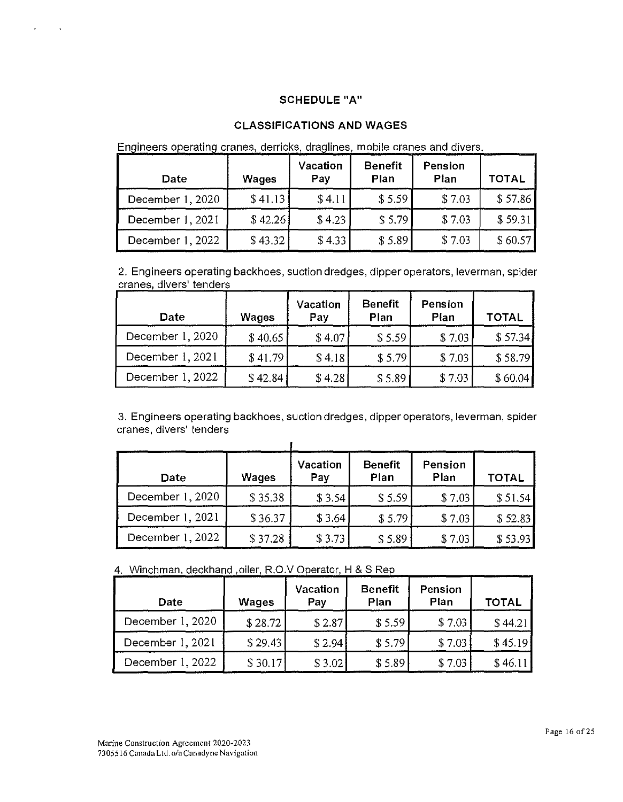## SCHEDULE "A"

# CLASSIFICATIONS AND WAGES

Engineers operating cranes, derricks, draglines, mobile cranes and divers.

| Date             | Wages   | Vacation<br>Pay | <b>Benefit</b><br>Plan | Pension<br>Plan | TOTAL   |
|------------------|---------|-----------------|------------------------|-----------------|---------|
| December 1, 2020 | \$41.13 | \$4.11          | \$5.59                 | \$7.03          | \$57.86 |
| December 1, 2021 | \$42.26 | \$4.23          | \$5.79                 | \$7.03          | \$59.31 |
| December 1, 2022 | \$43.32 | \$4.33          | \$5.89                 | \$7.03          | \$60.57 |

2. Engineers operating backhoes, suction dredges, dipper operators, leverman, spider cranes, divers' tenders <u>a mana</u>tan  $\mathcal{L}$  and  $\mathcal{L}$ 

| Date             | Wages   | Vacation<br>Pay | <b>Benefit</b><br>Plan | Pension<br>Plan | <b>TOTAL</b> |
|------------------|---------|-----------------|------------------------|-----------------|--------------|
| December 1, 2020 | \$40.65 | \$4.07          | \$5.59                 | \$7.03          | \$57.34]     |
| December 1, 2021 | \$41.79 | \$4.18          | \$5.79                 | \$7.03          | \$58.79      |
| December 1, 2022 | \$42.84 | \$4.28          | \$5.89                 | \$7.03          | \$60.04      |

3. Engineers operating backhoes, suction dredges, dipper operators, leverman, spider cranes, divers' tenders

| Date             | Wages   | Vacation<br>Pay | <b>Benefit</b><br>Plan | Pension<br>Plan | TOTAL   |
|------------------|---------|-----------------|------------------------|-----------------|---------|
| December 1, 2020 | \$35.38 | \$3.54          | \$5.59                 | \$7.03          | \$51.54 |
| December 1, 2021 | \$36.37 | \$3.64          | \$5.79                 | \$7.03          | \$52.83 |
| December 1, 2022 | \$37.28 | \$3.73          | \$5.89                 | \$7.03          | \$53.93 |

4. Winchman, deckhand , oiler, R.O.V Operator, H & S Rep

| Date             | Wages   | Vacation<br>Pay | <b>Benefit</b><br>Plan | Pension<br>Plan | <b>TOTAL</b> |
|------------------|---------|-----------------|------------------------|-----------------|--------------|
| December 1, 2020 | \$28.72 | \$2.87          | \$5.59                 | \$7.03          | \$44.21      |
| December 1, 2021 | \$29.43 | \$2.94          | \$5.79                 | \$7.03          | \$45.19      |
| December 1, 2022 | \$30.17 | \$3.02          | \$5.89                 | \$7.03          | \$46.11      |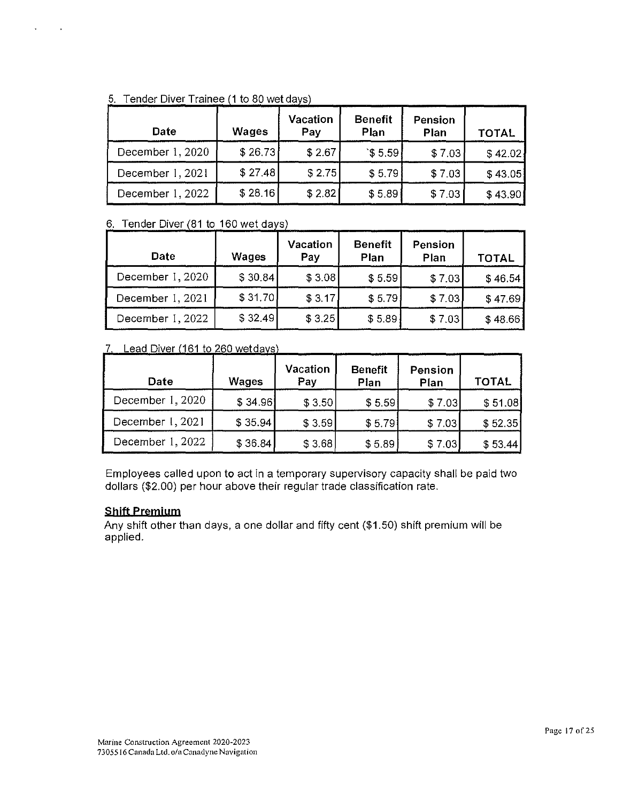| Date             | Wages   | <b>Vacation</b><br>Pay | <b>Benefit</b><br>Plan | Pension<br>Plan | <b>TOTAL</b> |
|------------------|---------|------------------------|------------------------|-----------------|--------------|
| December 1, 2020 | \$26.73 | \$2.67                 | \$5.59                 | \$7.03          | \$42.02]     |
| December 1, 2021 | \$27.48 | \$2.75                 | \$5.79                 | \$7.03          | \$43.05      |
| December 1, 2022 | \$28.16 | \$2.82                 | \$5.89                 | \$7.03          | \$43.90      |

## 5. Tender Diver Trainee (1 to 80 wet days)

J.

 $\cdot$ 

## 6. Tender Diver  $(81 \text{ to } 160 \text{ wet days})$

| <b>Date</b>      | Wages   | Vacation<br>Pay | <b>Benefit</b><br>Plan | Pension<br>Plan | <b>TOTAL</b> |
|------------------|---------|-----------------|------------------------|-----------------|--------------|
| December 1, 2020 | \$30.84 | \$3.08          | \$5.59                 | \$7.03          | \$46.54      |
| December 1, 2021 | \$31.70 | \$3.17          | \$5.79                 | \$7.03          | \$47.69      |
| December 1, 2022 | \$32.49 | \$3.25          | \$5.89                 | \$7.03          | \$48.66]     |

## 7. Lead Diver (161 to 260 wetdays)

| Date             | Wages    | Vacation<br>Pay | <b>Benefit</b><br>Plan | Pension<br>Plan | <b>TOTAL</b> |
|------------------|----------|-----------------|------------------------|-----------------|--------------|
| December 1, 2020 | \$34.96] | \$3.50          | \$5.59                 | \$7.03          | \$51.08      |
| December 1, 2021 | \$35.94  | \$3.59          | \$5.79                 | \$7.03          | \$52.35      |
| December 1, 2022 | \$36.84  | \$3.68          | \$5.89                 | \$7.03          | \$53.44      |

Employees called upon to act in a temporary supervisory capacity shall be paid two dollars (\$2.00) per hour above their regular trade classification rate.

## **Shift Premium**

Any shift other than days, a one dollar and fifty cent (\$1.50) shift premium will be applied.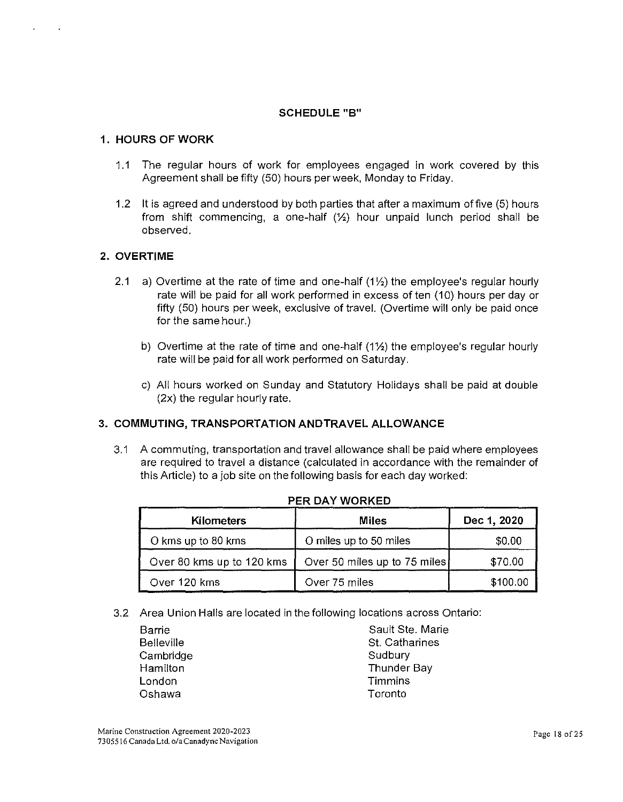# **SCHEDULE "B"**

## **1. HOURS OF WORK**

- 1.1 The regular hours of work for employees engaged in work covered by this Agreement shall be fifty (50) hours per week, Monday to Friday.
- 1.2 It is agreed and understood by both parties that after a maximum offive (5) hours from shift commencing, a one-half  $(\frac{1}{2})$  hour unpaid lunch period shall be observed.

## **2. OVERTIME**

- 2.1 a) Overtime at the rate of time and one-half  $(1/2)$  the employee's regular hourly rate will be paid for all work performed in excess of ten (10) hours per day or fifty (50) hours per week, exclusive of travel. (Overtime will only be paid once for the same hour.)
	- b) Overtime at the rate of time and one-half  $(1\frac{1}{2})$  the employee's regular hourly rate will be paid for all work performed on Saturday.
	- c) All hours worked on Sunday and Statutory Holidays shall be paid at double (2x) the regular hourly rate.

# **3. COMMUTING, TRANSPORTATION ANDTRAVEL ALLOWANCE**

3.1 A commuting, transportation and travel allowance shall be paid where employees are required to travel a distance (calculated in accordance with the remainder of this Article) to a job site on the following basis for each day worked:

| Kilometers                | <b>Miles</b>                 | Dec 1, 2020 |
|---------------------------|------------------------------|-------------|
| O kms up to 80 kms        | O miles up to 50 miles       | \$0.00      |
| Over 80 kms up to 120 kms | Over 50 miles up to 75 miles | \$70.00     |
| Over 120 kms              | Over 75 miles                | \$100.00    |

|  |  |  | PER DAY WORKED |
|--|--|--|----------------|
|  |  |  |                |

3.2 Area Union Halls are located in the following locations across Ontario:

| Sault Ste. Marie |
|------------------|
| St. Catharines   |
|                  |
| Thunder Bay      |
|                  |
|                  |
|                  |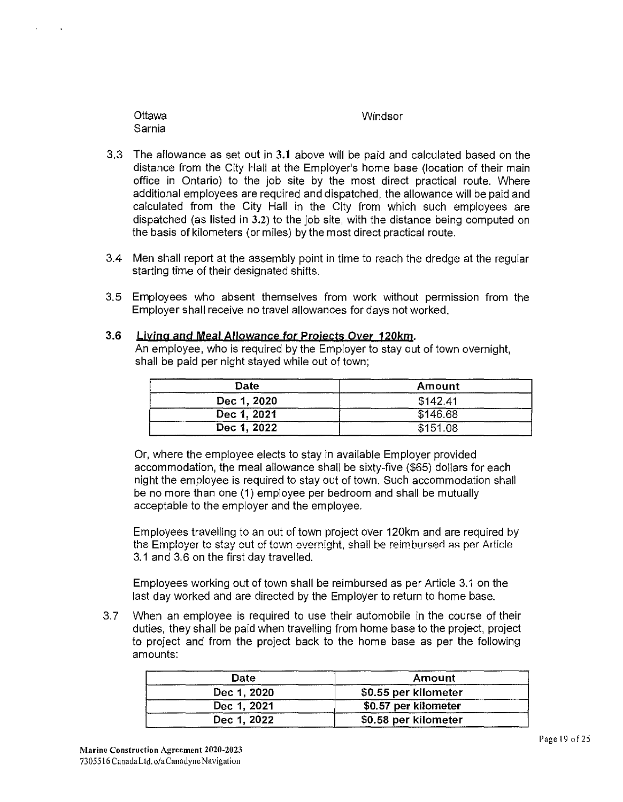| Sarnia                                                                 |  |  |
|------------------------------------------------------------------------|--|--|
| The allowance as set out in 3.1 above will be paid and calculated base |  |  |

**Windsor** 

- 3.3 The allowance as set out in 3.1 above will be paid and calculated based on the distance from the City Hall at the Employer's home base (location of their main office in Ontario) to the job site by the most direct practical route. Where additional employees are required and dispatched, the allowance will be paid and calculated from the City Hall in the City from which such employees are dispatched (as listed in 3.2) to the job site, with the distance being computed on the basis of kilometers (or miles) by the most direct practical route.
- 3.4 Men shall report at the assembly point in time to reach the dredge at the regular starting time of their designated shifts.
- 3.5 Employees who absent themselves from work without permission from the Employer shall receive no travel allowances for days not worked.
- 3.6 Ljyjng and Meal Allowance tor Projects Oyer 120km. An employee, who is required by the Employer to stay out of town overnight, shall be paid per night stayed while out of town;

| Date        | Amount   |  |  |
|-------------|----------|--|--|
| Dec 1, 2020 | \$142.41 |  |  |
| Dec 1, 2021 | \$146.68 |  |  |
| Dec 1, 2022 | \$151.08 |  |  |

Or, where the employee elects to stay in available Employer provided accommodation, the meal allowance shall be sixty-five (\$65) dollars for each night the employee is required to stay out of town. Such accommodation shall be no more than one (1) employee per bedroom and shall be mutually acceptable to the employer and the employee.

Employees travelling to an out of town project over 120km and are required by the Employer to stay out of town overnight, shall be reimbursed as per Article 3.1 and 3.6 on the first day travelled.

Employees working out of town shall be reimbursed as per Article 3.1 on the last day worked and are directed by the Employer to return to home base.

3. 7 When an employee is required to use their automobile in the course of their duties, they shall be paid when travelling from home base to the project, project to project and from the project back to the home base as per the following amounts:

| Date        | Amount               |  |
|-------------|----------------------|--|
| Dec 1, 2020 | \$0.55 per kilometer |  |
| Dec 1, 2021 | \$0.57 per kilometer |  |
| Dec 1, 2022 | \$0.58 per kilometer |  |

**Ottawa**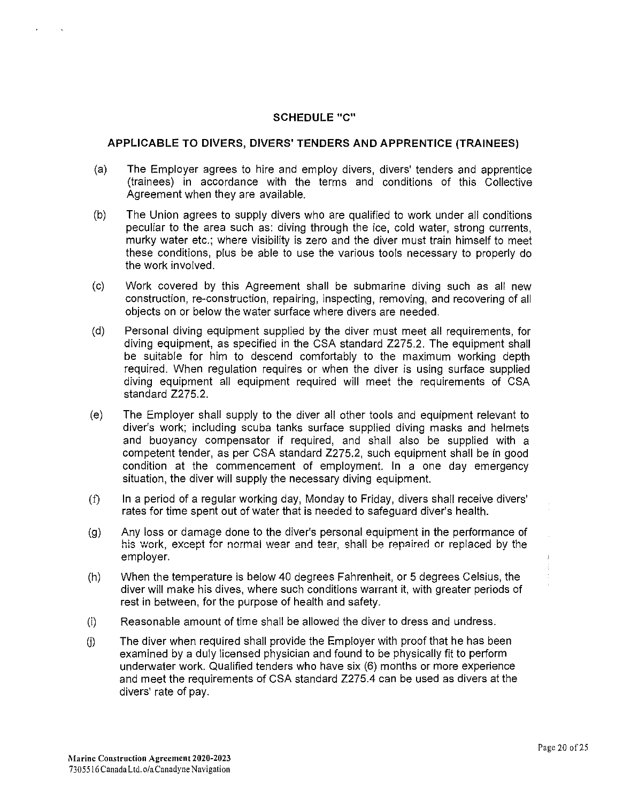#### **SCHEDULE** "C"

#### **APPLICABLE TO DIVERS, DIVERS' TENDERS AND APPRENTICE (TRAINEES)**

- (a) The Employer agrees to hire and employ divers, divers' tenders and apprentice (trainees) in accordance with the terms and conditions of this Collective Agreement when they are available.
- (b) The Union agrees to supply divers who are qualified to work under all conditions peculiar to the area such as: diving through the ice, cold water, strong currents, murky water etc.; where visibility is zero and the diver must train himself to meet these conditions, plus be able to use the various tools necessary to properly do the work involved.
- (c) Work covered by this Agreement shall be submarine diving such as all new construction, re-construction, repairing, inspecting, removing, and recovering of all objects on or below the water surface where divers are needed.
- (d) Personal diving equipment supplied by the diver must meet all requirements, for diving equipment, as specified in the CSA standard Z275.2. The equipment shall be suitable for him to descend comfortably to the maximum working depth required. When regulation requires or when the diver is using surface supplied diving equipment all equipment required will meet the requirements of CSA standard Z275.2.
- (e) The Employer shall supply to the diver all other tools and equipment relevant to diver's work; including scuba tanks surface supplied diving masks and helmets and buoyancy compensator if required, and shall also be supplied with a competent tender, as per CSA standard Z275.2, such equipment shall be in good condition at the commencement of employment. In a one day emergency situation, the diver will supply the necessary diving equipment.
- (f) In a period of a regular working day, Monday to Friday, divers shall receive divers' rates for time spent out of water that is needed to safeguard diver's health.
- (g) Any loss or damage done to the diver's personal equipment in the performance of his work, except for normal wear and tear, shall be repaired or replaced by the employer.
- (h) When the temperature is below 40 degrees Fahrenheit, or 5 degrees Celsius, the diver will make his dives, where such conditions warrant it, with greater periods of rest in between, for the purpose of health and safety.
- (i) Reasonable amount of time shall be allowed the diver to dress and undress.
- $(i)$  The diver when required shall provide the Employer with proof that he has been examined by a duly licensed physician and found to be physically fit to perform underwater work. Qualified tenders who have six (6) months or more experience and meet the requirements of CSA standard Z275.4 can be used as divers at the divers' rate of pay.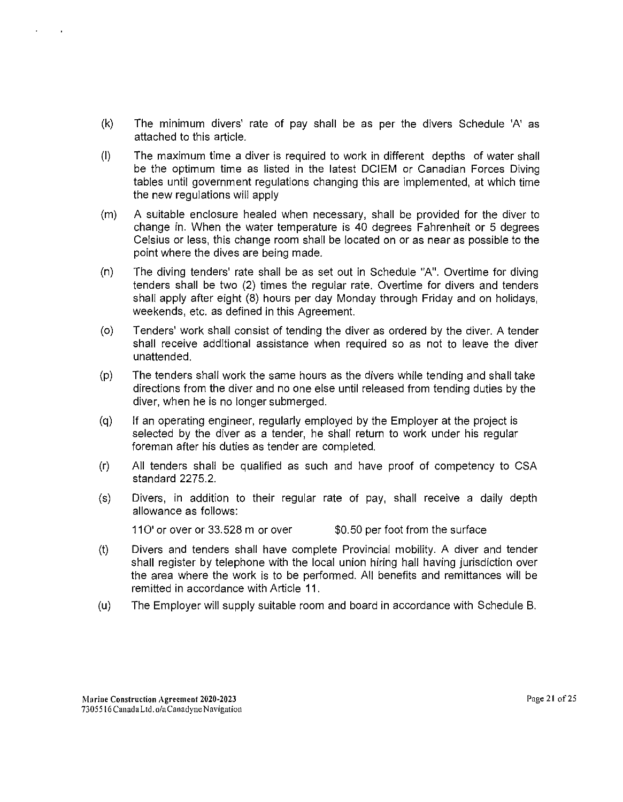- (k) The minimum divers' rate of pay shall be as per the divers Schedule 'A' as attached to this article.
- (I) The maximum time a diver is required to work in different depths of water shall be the optimum time as listed in the latest DCIEM or Canadian Forces Diving tables until government regulations changing this are implemented, at which time the new regulations will apply
- (m) A suitable enclosure healed when necessary, shall be provided for the diver to change in. When the water temperature is 40 degrees Fahrenheit or 5 degrees Celsius or less, this change room shall be located on or as near as possible to the point where the dives are being made.
- (n) The diving tenders' rate shall be as set out in Schedule "A". Overtime for diving tenders shall be two (2) times the regular rate. Overtime for divers and tenders shall apply after eight (8) hours per day Monday through Friday and on holidays, weekends, etc. as defined in this Agreement.
- (o) Tenders' work shall consist of tending the diver as ordered by the diver. A tender shall receive additional assistance when required so as not to leave the diver unattended.
- (p) The tenders shall work the same hours as the divers while tending and shall take directions from the diver and no one else until released from tending duties by the diver, when he is no longer submerged.
- (q) If an operating engineer, regularly employed by the Employer at the project is selected by the diver as a tender, he shall return to work under his regular foreman after his duties as tender are completed.
- (r) All tenders shall be qualified as such and have proof of competency to CSA standard 2275.2.
- (s) Divers, in addition to their regular rate of pay, shall receive a daily depth allowance as follows:

 $110'$  or over or 33.528 m or over  $$0.50$  per foot from the surface

- (t) Divers and tenders shall have complete Provincial mobility. A diver and tender shall register by telephone with the local union hiring hall having jurisdiction over the area where the work is to be performed. All benefits and remittances will be remitted in accordance with Article 11.
- (u) The Employer will supply suitable room and board in accordance with Schedule B.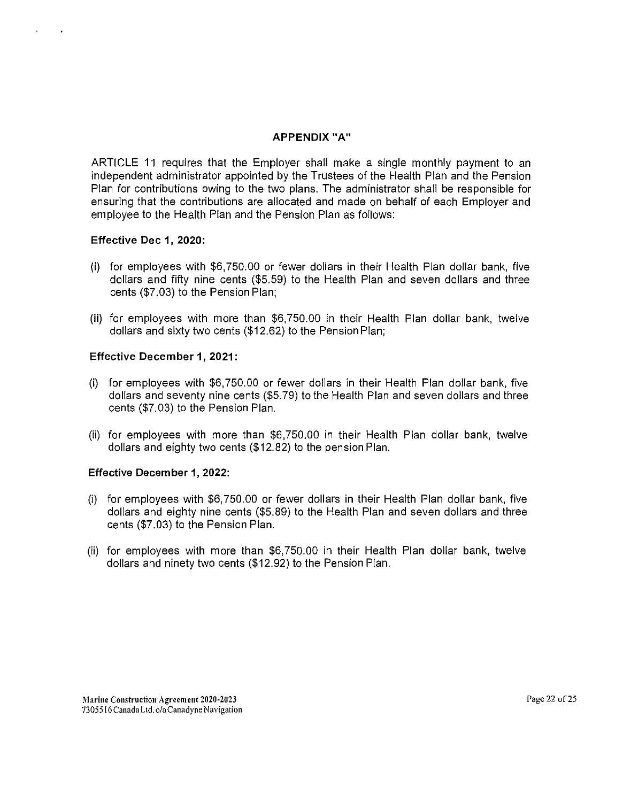#### **APPENDIX "A"**

ARTICLE 11 requires that the Employer shall make a single monthly payment to an independent administrator appointed by the Trustees of the Health Plan and the Pension Plan for contributions owing to the two plans. The administrator shall be responsible for ensuring that the contributions are allocated and made on behalf of each Employer and employee to the Health Plan and the Pension Plan as follows:

#### **Effective Dec 1, 2020:**

- (i) for employees with  $$6,750.00$  or fewer dollars in their Health Plan dollar bank, five dollars and fifty nine cents (\$5.59) to the Health Plan and seven dollars and three cents (\$7.03) to the Pension Plan;
- **(ii)** for employees with more than \$6, 750.00 in their Health Plan dollar bank, twelve dollars and sixty two cents (\$12.62) to the Pension Plan;

#### **Effective December 1, 2021:**

- (i) for employees with  $$6,750.00$  or fewer dollars in their Health Plan dollar bank, five dollars and seventy nine cents (\$5.79) to the Health Plan and seven dollars and three cents (\$7.03) to the Pension Plan.
- (ii) for employees with more than \$6,750.00 in their Health Plan dollar bank, twelve dollars and eighty two cents (\$12.82) to the pension Plan.

## **Effective December 1, 2022:**

- (i) for employees with  $$6,750.00$  or fewer dollars in their Health Plan dollar bank, five dollars and eighty nine cents (\$5.89) to the Health Plan and seven dollars and three cents (\$7.03) to the Pension Plan.
- (ii) for employees with more than \$6,750.00 in their Health Plan dollar bank, twelve dollars and ninety two cents (\$12.92) to the Pension Plan.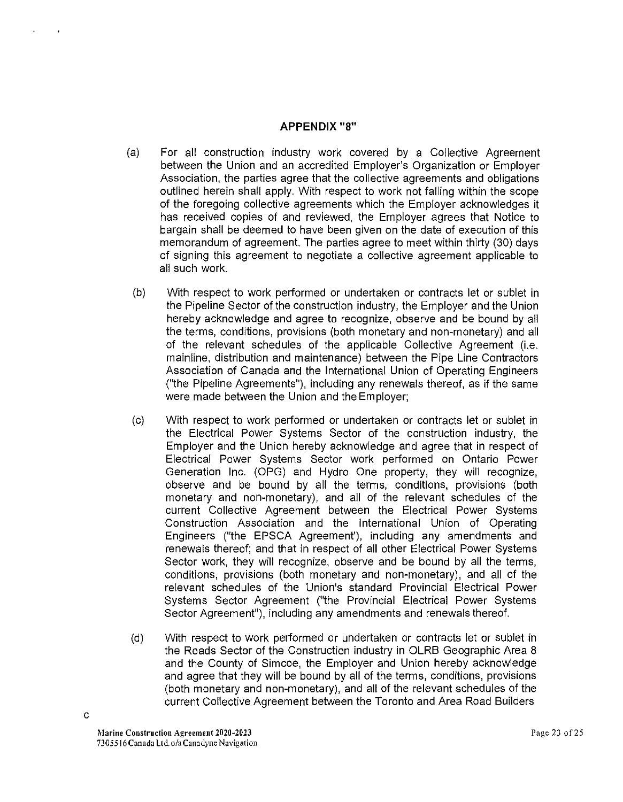## **APPENDIX** "8"

- (a) For all construction industry work covered by a Collective Agreement between the Union and an accredited Employer's Organization or Employer Association, the parties agree that the collective agreements and obligations outlined herein shall apply. With respect to work not falling within the scope of the foregoing collective agreements which the Employer acknowledges it has received copies of and reviewed, the Employer agrees that Notice to bargain shall be deemed to have been given on the date of execution of this memorandum of agreement. The parties agree to meet within thirty (30) days of signing this agreement to negotiate a collective agreement applicable to all such work.
- (b) With respect to work performed or undertaken or contracts let or sublet in the Pipeline Sector of the construction industry, the Employer and the Union hereby acknowledge and agree to recognize, observe and be bound by all the terms, conditions, provisions (both monetary and non-monetary) and all of the relevant schedules of the applicable Collective Agreement (i.e. mainline, distribution and maintenance) between the Pipe Line Contractors Association of Canada and the International Union of Operating Engineers ("the Pipeline Agreements"), including any renewals thereof, as if the same were made between the Union and the Employer;
- (c) With respect to work performed or undertaken or contracts let or sublet in the Electrical Power Systems Sector of the construction industry, the Employer and the Union hereby acknowledge and agree that in respect of Electrical Power Systems Sector work performed on Ontario Power Generation Inc. (OPG) and Hydro One property, they will recognize, observe and be bound by all the terms, conditions, provisions (both monetary and non-monetary), and all of the relevant schedules of the current Collective Agreement between the Electrical Power Systems Construction Association and the International Union of Operating Engineers ("the EPSCA Agreement'), including any amendments and renewals thereof; and that in respect of all other Electrical Power Systems Sector work, they will recognize, observe and be bound by all the terms, conditions, provisions (both monetary and non-monetary), and all of the relevant schedules of the Union's standard Provincial Electrical Power Systems Sector Agreement ("the Provincial Electrical Power Systems Sector Agreement"), including any amendments and renewals thereof.
- (d) With respect to work performed or undertaken or contracts let or sublet in the Roads Sector of the Construction industry in OLRB Geographic Area 8 and the County of Simcoe, the Employer and Union hereby acknowledge and agree that they will be bound by all of the terms, conditions, provisions (both monetary and non-monetary), and all of the relevant schedules of the current Collective Agreement between the Toronto and Area Road Builders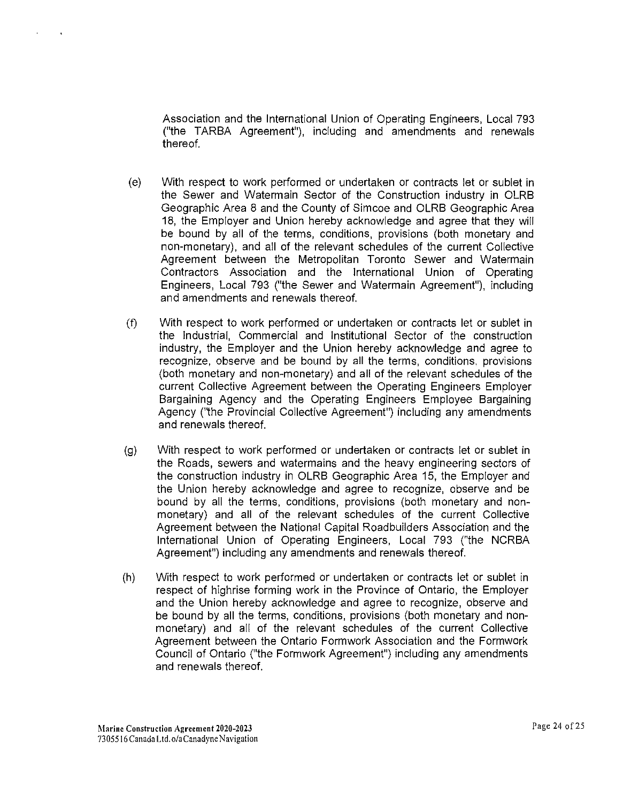Association and the International Union of Operating Engineers, Local 793 ("the TARBA Agreement"), including and amendments and renewals thereof.

- (e) With respect to work performed or undertaken or contracts let or sublet in the Sewer and Watermain Sector of the Construction industry in OLRB Geographic Area 8 and the County of Simcoe and OLRB Geographic Area 18, the Employer and Union hereby acknowledge and agree that they will be bound by all of the terms, conditions, provisions (both monetary and non-monetary), and all of the relevant schedules of the current Collective Agreement between the Metropolitan Toronto Sewer and Watermain Contractors Association and the International Union of Operating Engineers, Local 793 ("the Sewer and Watermain Agreement"), including and amendments and renewals thereof.
- (t) With respect to work performed or undertaken or contracts let or sublet in the Industrial, Commercial and Institutional Sector of the construction industry, the Employer and the Union hereby acknowledge and agree to recognize, observe and be bound by all the terms, conditions. provisions (both monetary and non-monetary) and all of the relevant schedules of the current Collective Agreement between the Operating Engineers Employer Bargaining Agency and the Operating Engineers Employee Bargaining Agency ("the Provincial Collective Agreement") including any amendments and renewals thereof.
- (g) With respect to work performed or undertaken or contracts let or sublet in the Roads, sewers and watermains and the heavy engineering sectors of the construction industry in OLRB Geographic Area 15, the Employer and the Union hereby acknowledge and agree to recognize, observe and be bound by all the terms, conditions, provisions (both monetary and nonmonetary) and all of the relevant schedules of the current Collective Agreement between the National Capital Roadbuilders Association and the International Union of Operating Engineers, Local 793 ("the NCRBA Agreement") including any amendments and renewals thereof.
- (h) With respect to work performed or undertaken or contracts let or sublet in respect of highrise forming work in the Province of Ontario, the Employer and the Union hereby acknowledge and agree to recognize, observe and be bound by all the terms, conditions, provisions (both monetary and nonmonetary) and all of the relevant schedules of the current Collective Agreement between the Ontario Formwork Association and the Formwork Council of Ontario ("the Formwork Agreement") including any amendments and renewals thereof.